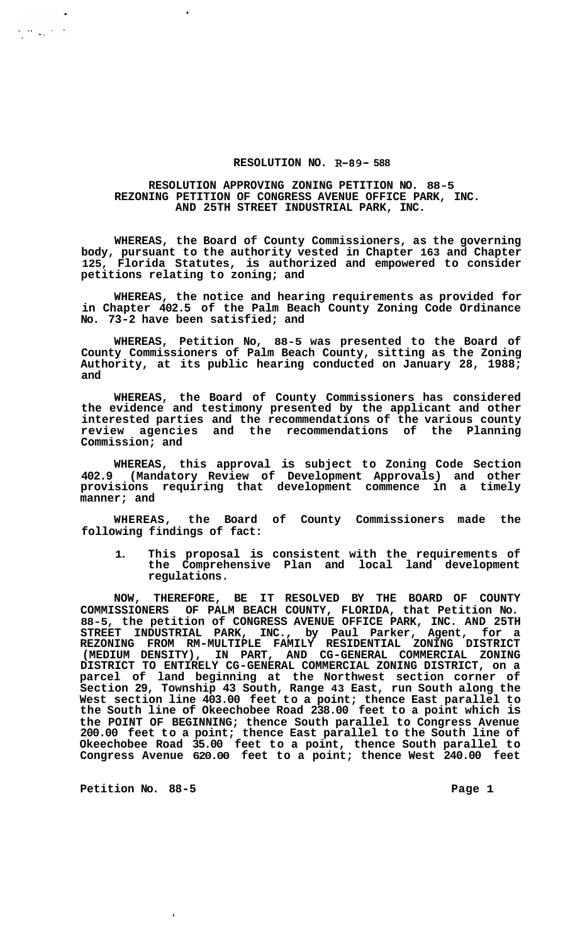## **RESOLUTION NO. R-89- 588**

# **RESOLUTION APPROVING ZONING PETITION NO. 88-5 REZONING PETITION OF CONGRESS AVENUE OFFICE PARK, INC. AND 25TH STREET INDUSTRIAL PARK, INC.**

**WHEREAS, the Board of County Commissioners, as the governing body, pursuant to the authority vested in Chapter 163 and Chapter 125, Florida Statutes, is authorized and empowered to consider petitions relating to zoning; and** 

**WHEREAS, the notice and hearing requirements as provided for in Chapter 402.5 of the Palm Beach County Zoning Code Ordinance No. 73-2 have been satisfied; and** 

**WHEREAS, Petition No, 88-5 was presented to the Board of County Commissioners of Palm Beach County, sitting as the Zoning Authority, at its public hearing conducted on January 28, 1988; and** 

**WHEREAS, the Board of County Commissioners has considered the evidence and testimony presented by the applicant and other interested parties and the recommendations of the various county review agencies and the recommendations of the Planning Commission; and** 

**WHEREAS, this approval is subject to Zoning Code Section 402.9 (Mandatory Review of Development Approvals) and other provisions requiring that development commence in a timely manner; and** 

**WHEREAS, the Board of County Commissioners made the following findings of fact:** 

**1. This proposal is consistent with the requirements of the Comprehensive Plan and local land development regulations.** 

**NOW, THEREFORE, BE IT RESOLVED BY THE BOARD OF COUNTY COMMISSIONERS OF PALM BEACH COUNTY, FLORIDA, that Petition No. 88-5, the petition of CONGRESS AVENUE OFFICE PARK, INC. AND 25TH STREET INDUSTRIAL PARK, INC., by Paul Parker, Agent, for a REZONING FROM RM-MULTIPLE FAMILY RESIDENTIAL ZONING DISTRICT (MEDIUM DENSITY), IN PART, AND CG-GENERAL COMMERCIAL ZONING DISTRICT TO ENTIRELY CG-GENERAL COMMERCIAL ZONING DISTRICT, on a parcel of land beginning at the Northwest section corner of Section 29, Township 43 South, Range 43 East, run South along the West section line 403.00 feet to a point; thence East parallel to the South line of Okeechobee Road 238.00 feet to a point which is the POINT OF BEGINNING; thence South parallel to Congress Avenue 200.00 feet to a point; thence East parallel to the South line of Okeechobee Road 35.00 feet to a point, thence South parallel to Congress Avenue 620.00 feet to a point; thence West 240.00 feet** 

Petition No. 88-5 **Page 1 Page 1** 

 $\frac{1}{2}$  .

 $\sum_{i=1}^n\sum_{j=1}^n\sum_{j=1}^n\frac{1}{j}\sum_{j=1}^n\frac{1}{j}\sum_{j=1}^n\frac{1}{j}\sum_{j=1}^n\frac{1}{j}\sum_{j=1}^n\frac{1}{j}\sum_{j=1}^n\frac{1}{j}\sum_{j=1}^n\frac{1}{j}\sum_{j=1}^n\frac{1}{j}\sum_{j=1}^n\frac{1}{j}\sum_{j=1}^n\frac{1}{j}\sum_{j=1}^n\frac{1}{j}\sum_{j=1}^n\frac{1}{j}\sum_{j=1}^n\frac{1}{j}\sum_{j=1}$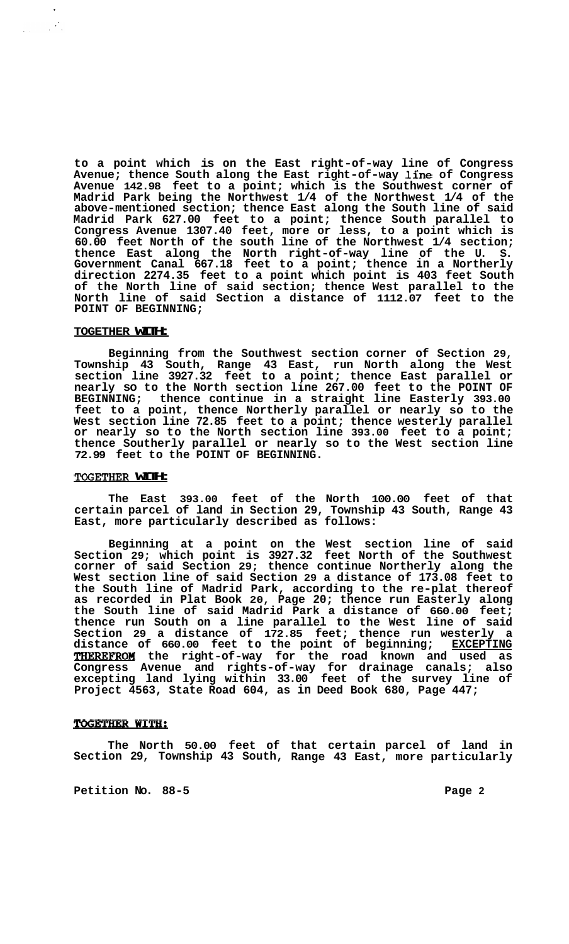**to a point which is on the East right-of-way line of Congress Avenue; thence South along the East right-of-way line of Congress Avenue 142.98 feet to a point; which is the Southwest corner of Madrid Park being the Northwest 1/4 of the Northwest 1/4 of the above-mentioned section; thence East along the South line of said Madrid Park 627.00 feet to a point; thence South parallel to Congress Avenue 1307.40 feet, more or less, to a point which is 60.00 feet North of the south line of the Northwest 1/4 section; thence East along the North right-of-way line of the U. S. Government Canal 667.18 feet to a point; thence in a Northerly direction 2274.35 feet to a point which point is 403 feet South of the North line of said section; thence West parallel to the North line of said Section a distance of 1112.07 feet to the POINT OF BEGINNING;** 

#### **TOGETHER WITH:**

 $\langle \cdot \rangle$  $\frac{1}{2}$  ,  $\frac{1}{2}$  ,

> **Beginning from the Southwest section corner of Section 29, Township 43 South, Range 43 East, run North along the West section line 3927.32 feet to a point; thence East parallel or nearly so to the North section line 267.00 feet to the POINT OF BEGINNING; thence continue in a straight line Easterly 393.00 feet to a point, thence Northerly parallel or nearly so to the West section line 72.85 feet to a point; thence westerly parallel or nearly so to the North section line 393.00 feet to a point; thence Southerly parallel or nearly so to the West section line 72.99 feet to the POINT OF BEGINNING.**

# **TOGETKER WITH:**

**The East 393.00 feet of the North 100.00 feet of that certain parcel of land in Section 29, Township 43 South, Range 43 East, more particularly described as follows:** 

**Beginning at a point on the West section line of said Section 29; which point is 3927.32 feet North of the Southwest corner of said Section 29; thence continue Northerly along the West section line of said Section 29 a distance of 173.08 feet to the South line of Madrid Park, according to the re-plat thereof as recorded in Plat Book 20, Page 20; thence run Easterly along the South line of said Madrid Park a distance of 660.00 feet; thence run South on a line parallel to the West line of said Section 29 a distance of 172.85 feet; thence run westerly a distance of 660.00 feet to the point of beginning; EXCEPTING**  THEREFROW **the right-of-way for the road known and used as Congress Avenue and rights-of-way for drainage canals; also excepting land lying within 33.00 feet of the survey line of Project 4563, State Road 604, as in Deed Book 680, Page 447;** 

#### **TOGETHER WITH:**

**The North 50.00 feet of that certain parcel of land in Section 29, Township 43 South, Range 43 East, more particularly** 

**Petition No.** 88-5 **Page 2 Page 2**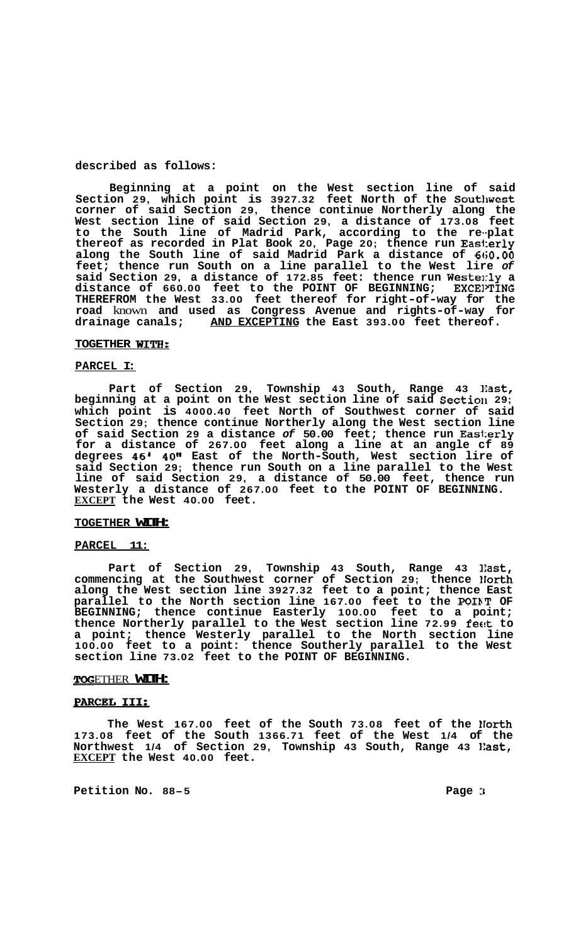## **described as follows:**

**Beginning at a point on the West section line of said Section 29, which point is 3927.32 feet North of the Southwest corner of said Section 29, thence continue Northerly along the West section line of said Section 29, a distance of 173.08 feet to the South line of Madrid Park, according to the re--plat thereof as recorded in Plat Book 20, Page 20; thence run Eas1:erly along the South line of said Madrid Park a distance of 6ti0.00 feet; thence run South on a line parallel to the West lire** *of*  **said Section 29, a distance of 172.85 feet: thence run Westerly a distance of 660.00 feet to the POINT OF BEGINNING; EXCEITING THEREFROM the West 33.00 feet thereof for right-of-way for the road** known **and used as Congress Avenue and rights-of-way for drainage canals; AND EXCEPTING the East 393.00 feet thereof.** 

#### **TOGETHER WITH:**

#### **PARCEL I:**

**Part of Section 29, Township 43 South, Range 43 Izast,**  beginning at a point on the West section line of said Section 29; **which point is 4000.40 feet North of Southwest corner of said Section 29; thence continue Northerly along the West section line of said Section 29 a distance** *of* **50.00 feet; thence run Eas1:erly for a distance of 267.00 feet along a line at an angle cf 89 degrees 46' 40" East of the North-South, West section lire of said Section 29; thence run South on a line parallel to the West line of said Section 29, a distance of 50.00 feet, thence run Westerly a distance of 267.00 feet to the POINT OF BEGINNING. EXCEPT the West 40.00 feet.** 

#### **TOGETHER WITH:**

## **PARCEL 11:**

**Part of Section 29, Township 43 South, Range 43 ]East, commencing at the Southwest corner of Section 29; thence Horth along the West section line 3927.32 feet to a point; thence East parallel to the North section line 167.00 feet to the POIKT OF BEGINNING; thence continue Easterly 100.00 feet to a point; thence Northerly parallel to the West section line 72.99 fecit to a point; thence Westerly parallel to the North section line 100.00 feet to a point: thence Southerly parallel to the West section line 73.02 feet to the POINT OF BEGINNING.** 

#### ETHER **WITH:**

## **PARCEL 111;**

**The West 167.00 feet of the South 73.08 feet of the North 173.08 feet of the South 1366.71 feet of the West 1/4 of the Northwest 1/4 of Section 29, Township 43 South, Range 43 ]East, EXCEPT the West 40.00 feet.** 

**Petition No. 88-5 Page** :I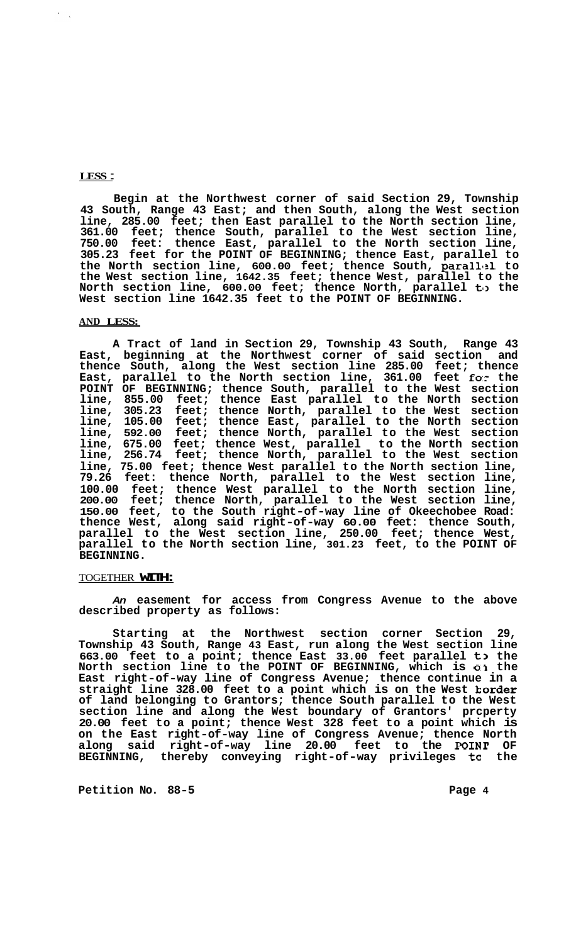## **LESS** :

**Begin at the Northwest corner of said Section 29, Township 43 South, Range 43 East; and then South, along the West section line, 285.00 feet; then East parallel to the North section line, 361.00 feet; thence South, parallel to the West section line, 750.00 feet: thence East, parallel to the North section line, 305.23 feet for the POINT OF BEGINNING; thence East, parallel to**  the North section line, 600.00 feet; thence South, parallel to **the West section line, 1642.35 feet; thence West, parallel to the North section line, 600.00 feet; thence North, parallel to> the West section line 1642.35 feet to the POINT OF BEGINNING.** 

## **AND LESS:**

**A Tract of land in Section 29, Township 43 South, Range 43 East, beginning at the Northwest corner of said section and thence South, along the West section line 285.00 feet; thence East, parallel to the North section line, 361.00 feet f0.r the POINT OF BEGINNING; thence South, parallel to the West section line, 855.00 feet; thence East parallel to the North section line, 305.23 feet; thence North, parallel to the West section line, 105.00 feet; thence East, parallel to the North section line, 592.00 feet; thence North, parallel to the West section line, 675.00 feet; thence West, parallel to the North section line, 256.74 feet; thence North, parallel to the West section line, 75.00 feet; thence West parallel to the North section line, 79.26 feet: thence North, parallel to the West section line, 100.00 feet; thence West parallel to the North section line, 200.00 feet; thence North, parallel to the West section line, 150.00 feet, to the South right-of-way line of Okeechobee Road: thence West, along said right-of-way 60.00 feet: thence South, parallel to the West section line, 250.00 feet; thence West, parallel to the North section line, 301.23 feet, to the POINT OF BEGINNING.** 

#### TOGETHER **WITH:**

*An* **easement for access from Congress Avenue to the above described property as follows:** 

**Starting at the Northwest section corner Section 29, Township 43 South, Range 43 East, run along the West section line 663.00 feet to a point; thence East 33.00 feet parallel to the North section line to the POINT OF BEGINNING, which is O:I the East right-of-way line of Congress Avenue; thence continue in a straight line 328.00 feet to a point which is on the West korder of land belonging to Grantors; thence South parallel to the West section line and along the West boundary of Grantors' prcperty 20.00 feet to a point; thence West 328 feet to a point which is on the East right-of-way line of Congress Avenue; thence North along said right-of-way line 20.00 feet to the POINT OF BEGINNING, thereby conveying right-of-way privileges tc the** 

**Petition No. 88-5 Page 4 Page 4**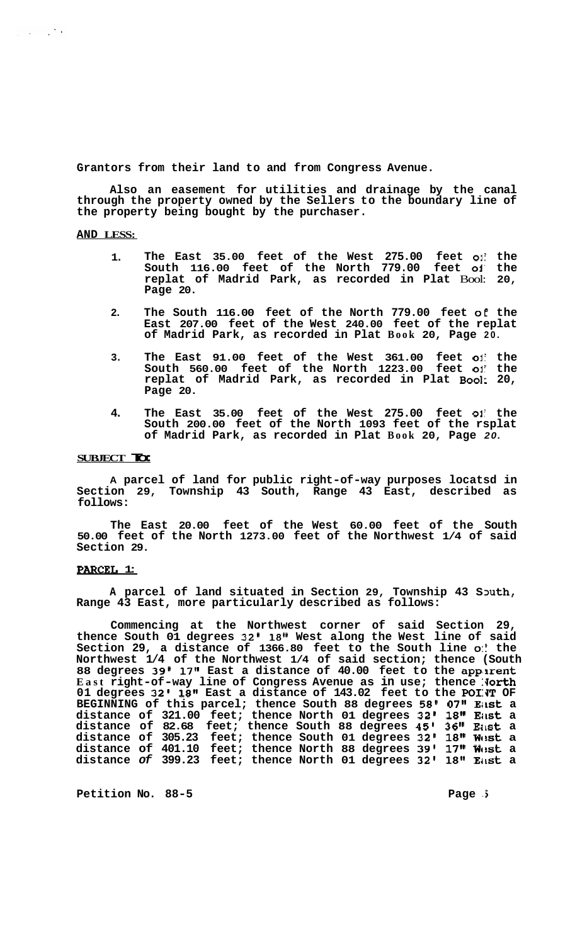**Grantors from their land to and from Congress Avenue.** 

**Also an easement for utilities and drainage by the canal through the property owned by the Sellers to the boundary line of the property being bought by the purchaser.** 

# **AND LESS:**

 $\omega_{\rm c}$  ,  $\omega_{\rm c}$  ,  $\omega_{\rm c}$  ,  $\omega_{\rm c}$ 

- **1. The East 35.00 feet of the West 275.00 feet 01: the South 116.00 feet of the North 779.00 feet oi' the replat of Madrid Park, as recorded in Plat** Bool: **20, Page 20.**
- **2. The South 116.00 feet of the North 779.00 feet** *o€* **the East 207.00 feet of the West 240.00 feet of the replat of Madrid Park, as recorded in Plat Book 20, Page 20.**
- **3. The East 91.00 feet of the West 361.00 feet** ol: **the South 560.00 feet of the North 1223.00 feet 01' the replat of Madrid Park, as recorded in Plat Bool: 20, Page 20.**
- **4. The East 35.00 feet of the West 275.00 feet** oli **the South 200.00 feet of the North 1093 feet of the rsplat of Madrid Park, as recorded in Plat Book 20, Page** *20.*

#### **SUBJECT To:**

**A parcel of land for public right-of-way purposes locatsd in Section 29, Township 43 South, Range 43 East, described as follows:** 

**The East 20.00 feet of the West 60.00 feet of the South 50.00 feet of the North 1273.00 feet of the Northwest 1/4 of said Section 29.** 

#### **PARCEL 1:**

A parcel of land situated in Section 29, Township 43 South, **Range 43 East, more particularly described as follows:** 

**Commencing at the Northwest corner of said Section 29, thence South 01 degrees 32' 18" West along the West line of said Section 29, a distance of 1366.80 feet to the South line** *0::* **the Northwest 1/4 of the Northwest 1/4 of said section; thence (South 88 degrees 39' 17" East a distance of 40.00 feet to the appsrent**  East right-of-way line of Congress Avenue as in use; thence North 01 degrees 32' 18" East a distance of 143.02 feet to the POINT OF BEGINNING of this parcel; thence South 88 degrees 58' 07" East a **distance of 321.00 feet; thence North 01 degrees 32' 18" EiISt a distance of 82.68 feet; thence South 88 degrees 45' 36" Eimt a distance of 305.23 feet; thence South 01 degrees 32' 18" Wc!st a distance of 401.10 feet; thence North 88 degrees 39' 17" Wc!st a distance** *of* **399.23 feet; thence North 01 degrees 32' 18" EilSt a** 

Petition No. 88-5 **Page 3 Page 3**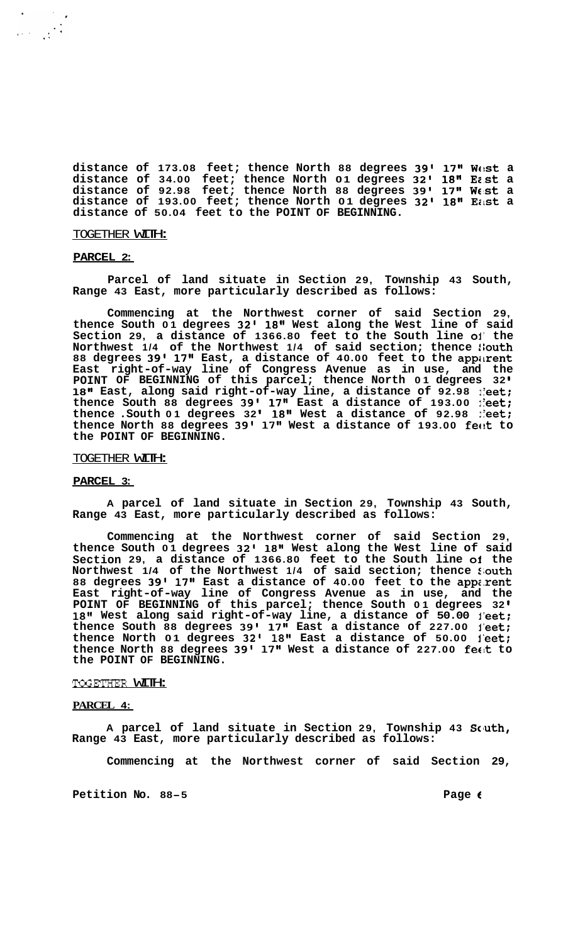**distance of 173.08 feet; thence North 88 degrees 39' 17" Wtst a distance of 34.00 feet; thence North 01 degrees 32' 18" East a distance of 92.98 feet; thence North 88 degrees 39' 17" We!& a distance of 193.00 feet; thence North 01 degrees 32' 18'' Ezst a distance of 50.04 feet to the POINT OF BEGINNING.** 

#### TOGETHER WITH:

#### **PARCEL 2:**

 $\label{eq:1} \frac{1}{\left(1-\frac{1}{\sqrt{2}}\right)^{\frac{1}{2}}}\left(\frac{1}{\sqrt{2}}\right)^{\frac{1}{2}}\left(\frac{1}{\sqrt{2}}\right)^{\frac{1}{2}}$ 

**Parcel of land situate in Section 29, Township 43 South, Range 43 East, more particularly described as follows:** 

**Commencing at the Northwest corner of said Section 29, thence South 01 degrees 32' 18" West along the West line of said Section 29, a distance of 1366.80 feet to the South line 01' the Northwest 1/4 of the Northwest 1/4 of said section; thence !:outh 88 degrees 39' 17" East, a distance of 40.00 feet to the appitrent East right-of-way line of Congress Avenue as in use, and the POINT OF BEGINNING of this parcel; thence North 01 degrees 32 18"** East, along said right-of-way line, a distance of **92.98** leet; **thence South 88 degrees 39' 17" East a distance of 193.00 ieet; thence .South 01 degrees 32' 18" West a distance of 92.98 : eet; thence North 88 degrees 39' 17" West a distance of 193.00 feck to the POINT OF BEGINNING.** 

### TOGETHER WITH:

## **PARCEL 3:**

**A parcel of land situate in Section 29, Township 43 South, Range 43 East, more particularly described as follows:** 

**Commencing at the Northwest corner of said Section 29, thence South 01 degrees 32' 18" West along the West line of said Section 29, a distance of 1366.80 feet to the South line of the Northwest 1/4 of the Northwest 1/4 of said section; thence 2;outh 88 degrees 39' 17" East a distance of 40.00 feet to the app;.rent East right-of-way line of Congress Avenue as in use, and the POINT OF BEGINNING of this parcel; thence South 01 degrees 32 18" West along said right-of-way line, a distance of 50.00 l'eet; thence South 88 degrees 39' 17" East a distance of 227.00 l'eet; thence North 01 degrees 32' 18'l East a distance of 50.00 l'eet; thence North 88 degrees 39' 17" West a distance of 227.00 fetlt to the POINT OF BEGINNING.** 

#### TOGETFIER WITH:

# **PARCEL 4:**

**A parcel of land situate in Section 29, Township 43 Scluth, Range 43 East, more particularly described as follows:** 

**Commencing at the Northwest corner of said Section 29,** 

**Petition No. 88-5 Page C**